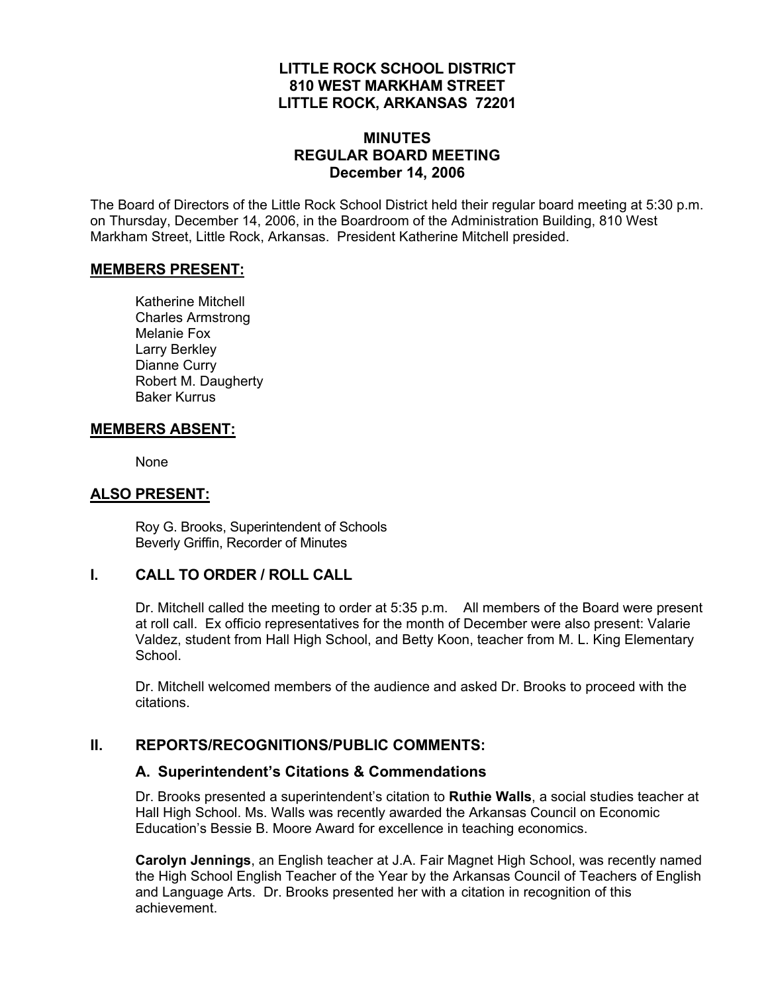## **LITTLE ROCK SCHOOL DISTRICT 810 WEST MARKHAM STREET LITTLE ROCK, ARKANSAS 72201**

## **MINUTES REGULAR BOARD MEETING December 14, 2006**

The Board of Directors of the Little Rock School District held their regular board meeting at 5:30 p.m. on Thursday, December 14, 2006, in the Boardroom of the Administration Building, 810 West Markham Street, Little Rock, Arkansas. President Katherine Mitchell presided.

#### **MEMBERS PRESENT:**

Katherine Mitchell Charles Armstrong Melanie Fox Larry Berkley Dianne Curry Robert M. Daugherty Baker Kurrus

#### **MEMBERS ABSENT:**

None

#### **ALSO PRESENT:**

 Roy G. Brooks, Superintendent of Schools Beverly Griffin, Recorder of Minutes

#### **I. CALL TO ORDER / ROLL CALL**

Dr. Mitchell called the meeting to order at 5:35 p.m. All members of the Board were present at roll call. Ex officio representatives for the month of December were also present: Valarie Valdez, student from Hall High School, and Betty Koon, teacher from M. L. King Elementary School.

Dr. Mitchell welcomed members of the audience and asked Dr. Brooks to proceed with the citations.

#### **II. REPORTS/RECOGNITIONS/PUBLIC COMMENTS:**

## **A. Superintendent's Citations & Commendations**

Dr. Brooks presented a superintendent's citation to **Ruthie Walls**, a social studies teacher at Hall High School. Ms. Walls was recently awarded the Arkansas Council on Economic Education's Bessie B. Moore Award for excellence in teaching economics.

**Carolyn Jennings**, an English teacher at J.A. Fair Magnet High School, was recently named the High School English Teacher of the Year by the Arkansas Council of Teachers of English and Language Arts. Dr. Brooks presented her with a citation in recognition of this achievement.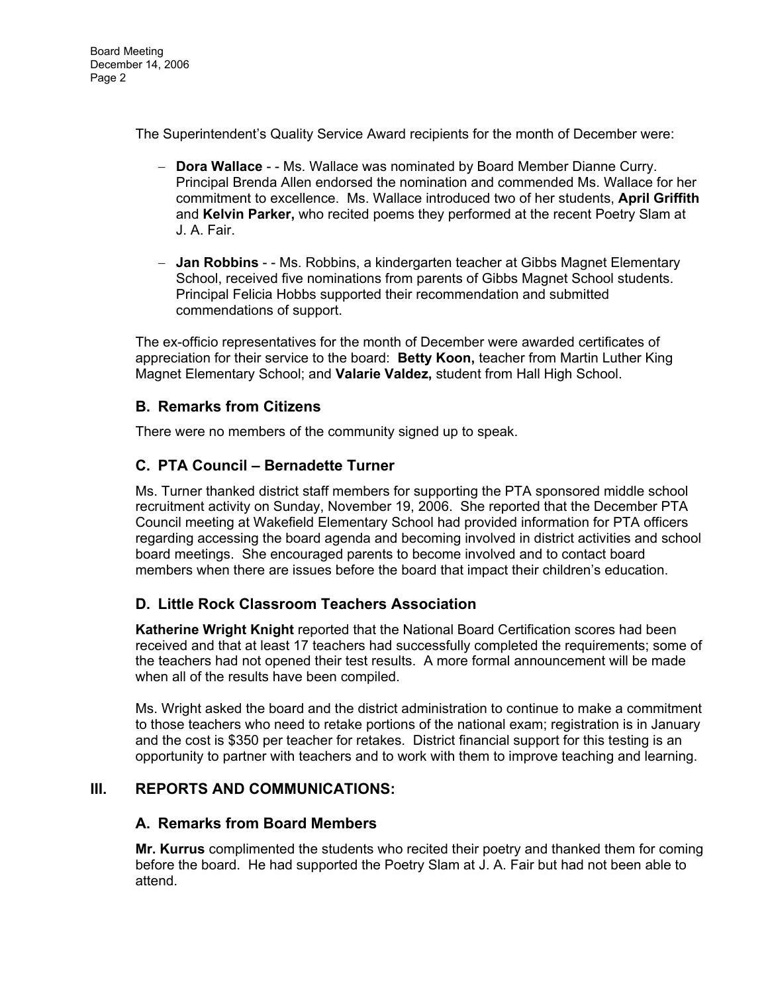The Superintendent's Quality Service Award recipients for the month of December were:

- **Dora Wallace** - Ms. Wallace was nominated by Board Member Dianne Curry. Principal Brenda Allen endorsed the nomination and commended Ms. Wallace for her commitment to excellence. Ms. Wallace introduced two of her students, **April Griffith**  and **Kelvin Parker,** who recited poems they performed at the recent Poetry Slam at J. A. Fair.
- **Jan Robbins**  - Ms. Robbins, a kindergarten teacher at Gibbs Magnet Elementary School, received five nominations from parents of Gibbs Magnet School students. Principal Felicia Hobbs supported their recommendation and submitted commendations of support.

The ex-officio representatives for the month of December were awarded certificates of appreciation for their service to the board: **Betty Koon,** teacher from Martin Luther King Magnet Elementary School; and **Valarie Valdez,** student from Hall High School.

## **B. Remarks from Citizens**

There were no members of the community signed up to speak.

## **C. PTA Council – Bernadette Turner**

Ms. Turner thanked district staff members for supporting the PTA sponsored middle school recruitment activity on Sunday, November 19, 2006. She reported that the December PTA Council meeting at Wakefield Elementary School had provided information for PTA officers regarding accessing the board agenda and becoming involved in district activities and school board meetings. She encouraged parents to become involved and to contact board members when there are issues before the board that impact their children's education.

## **D. Little Rock Classroom Teachers Association**

**Katherine Wright Knight** reported that the National Board Certification scores had been received and that at least 17 teachers had successfully completed the requirements; some of the teachers had not opened their test results. A more formal announcement will be made when all of the results have been compiled.

Ms. Wright asked the board and the district administration to continue to make a commitment to those teachers who need to retake portions of the national exam; registration is in January and the cost is \$350 per teacher for retakes. District financial support for this testing is an opportunity to partner with teachers and to work with them to improve teaching and learning.

## **III. REPORTS AND COMMUNICATIONS:**

## **A. Remarks from Board Members**

**Mr. Kurrus** complimented the students who recited their poetry and thanked them for coming before the board. He had supported the Poetry Slam at J. A. Fair but had not been able to attend.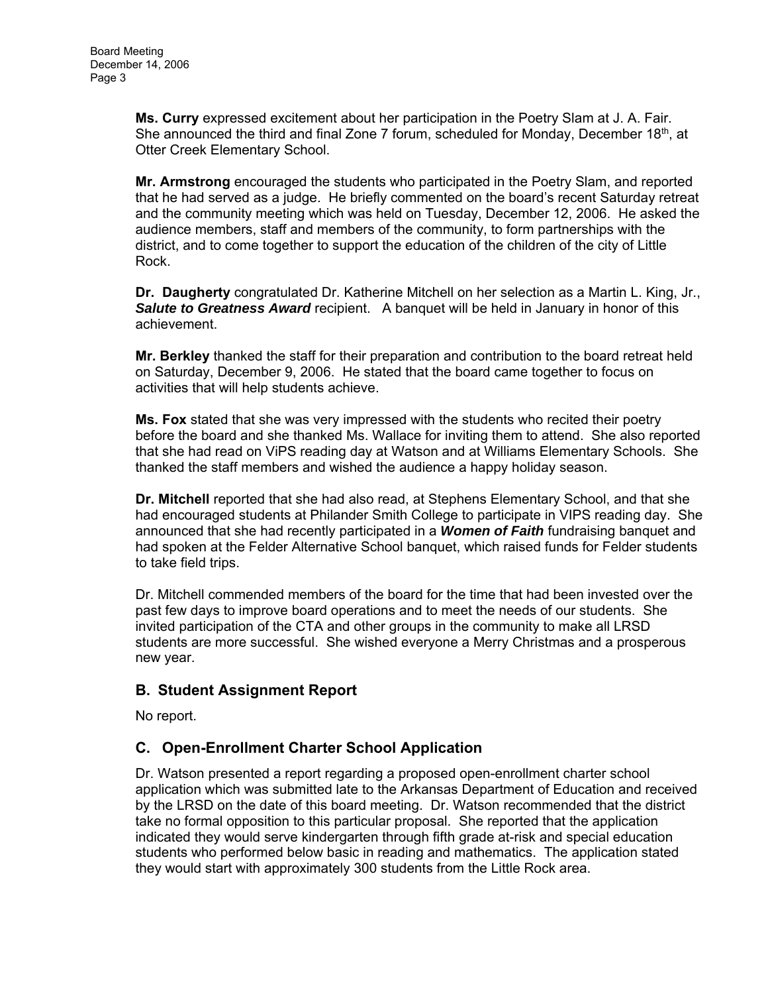**Ms. Curry** expressed excitement about her participation in the Poetry Slam at J. A. Fair. She announced the third and final Zone 7 forum, scheduled for Monday, December 18<sup>th</sup>, at Otter Creek Elementary School.

**Mr. Armstrong** encouraged the students who participated in the Poetry Slam, and reported that he had served as a judge. He briefly commented on the board's recent Saturday retreat and the community meeting which was held on Tuesday, December 12, 2006. He asked the audience members, staff and members of the community, to form partnerships with the district, and to come together to support the education of the children of the city of Little Rock.

**Dr. Daugherty** congratulated Dr. Katherine Mitchell on her selection as a Martin L. King, Jr., *Salute to Greatness Award* recipient. A banquet will be held in January in honor of this achievement.

**Mr. Berkley** thanked the staff for their preparation and contribution to the board retreat held on Saturday, December 9, 2006. He stated that the board came together to focus on activities that will help students achieve.

**Ms. Fox** stated that she was very impressed with the students who recited their poetry before the board and she thanked Ms. Wallace for inviting them to attend. She also reported that she had read on ViPS reading day at Watson and at Williams Elementary Schools. She thanked the staff members and wished the audience a happy holiday season.

**Dr. Mitchell** reported that she had also read, at Stephens Elementary School, and that she had encouraged students at Philander Smith College to participate in VIPS reading day. She announced that she had recently participated in a *Women of Faith* fundraising banquet and had spoken at the Felder Alternative School banquet, which raised funds for Felder students to take field trips.

Dr. Mitchell commended members of the board for the time that had been invested over the past few days to improve board operations and to meet the needs of our students. She invited participation of the CTA and other groups in the community to make all LRSD students are more successful. She wished everyone a Merry Christmas and a prosperous new year.

# **B. Student Assignment Report**

No report.

# **C. Open-Enrollment Charter School Application**

Dr. Watson presented a report regarding a proposed open-enrollment charter school application which was submitted late to the Arkansas Department of Education and received by the LRSD on the date of this board meeting. Dr. Watson recommended that the district take no formal opposition to this particular proposal. She reported that the application indicated they would serve kindergarten through fifth grade at-risk and special education students who performed below basic in reading and mathematics. The application stated they would start with approximately 300 students from the Little Rock area.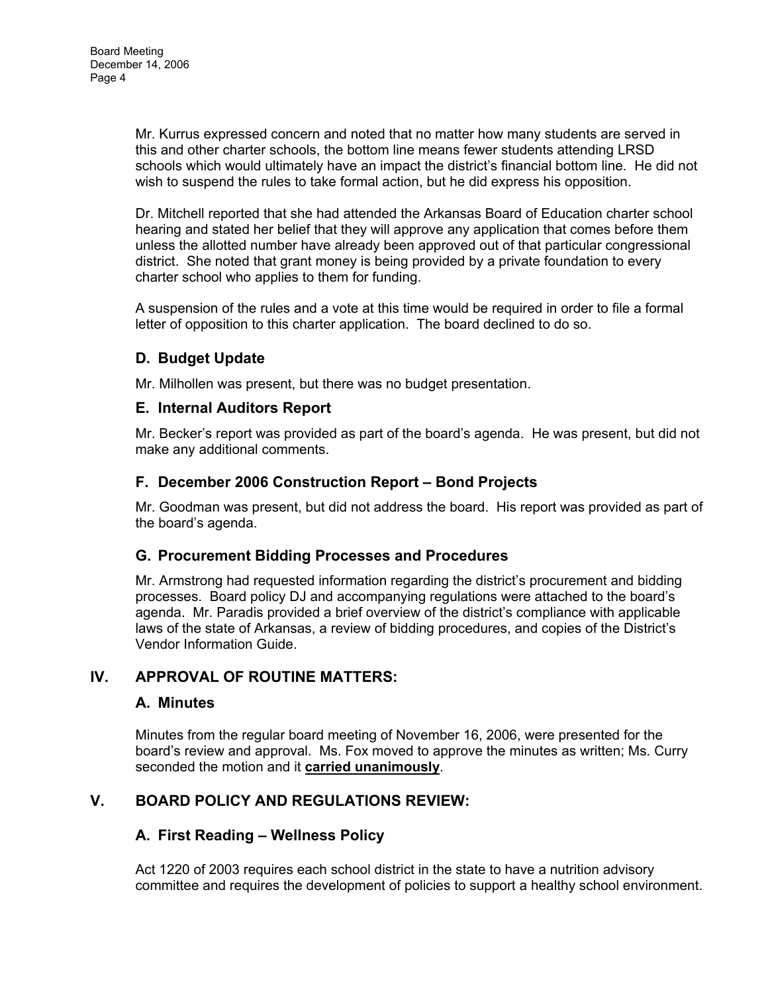Mr. Kurrus expressed concern and noted that no matter how many students are served in this and other charter schools, the bottom line means fewer students attending LRSD schools which would ultimately have an impact the district's financial bottom line. He did not wish to suspend the rules to take formal action, but he did express his opposition.

Dr. Mitchell reported that she had attended the Arkansas Board of Education charter school hearing and stated her belief that they will approve any application that comes before them unless the allotted number have already been approved out of that particular congressional district. She noted that grant money is being provided by a private foundation to every charter school who applies to them for funding.

A suspension of the rules and a vote at this time would be required in order to file a formal letter of opposition to this charter application. The board declined to do so.

# **D. Budget Update**

Mr. Milhollen was present, but there was no budget presentation.

#### **E. Internal Auditors Report**

Mr. Becker's report was provided as part of the board's agenda. He was present, but did not make any additional comments.

## **F. December 2006 Construction Report – Bond Projects**

Mr. Goodman was present, but did not address the board. His report was provided as part of the board's agenda.

## **G. Procurement Bidding Processes and Procedures**

Mr. Armstrong had requested information regarding the district's procurement and bidding processes. Board policy DJ and accompanying regulations were attached to the board's agenda. Mr. Paradis provided a brief overview of the district's compliance with applicable laws of the state of Arkansas, a review of bidding procedures, and copies of the District's Vendor Information Guide.

## **IV. APPROVAL OF ROUTINE MATTERS:**

## **A. Minutes**

Minutes from the regular board meeting of November 16, 2006, were presented for the board's review and approval. Ms. Fox moved to approve the minutes as written; Ms. Curry seconded the motion and it **carried unanimously**.

## **V. BOARD POLICY AND REGULATIONS REVIEW:**

## **A. First Reading – Wellness Policy**

Act 1220 of 2003 requires each school district in the state to have a nutrition advisory committee and requires the development of policies to support a healthy school environment.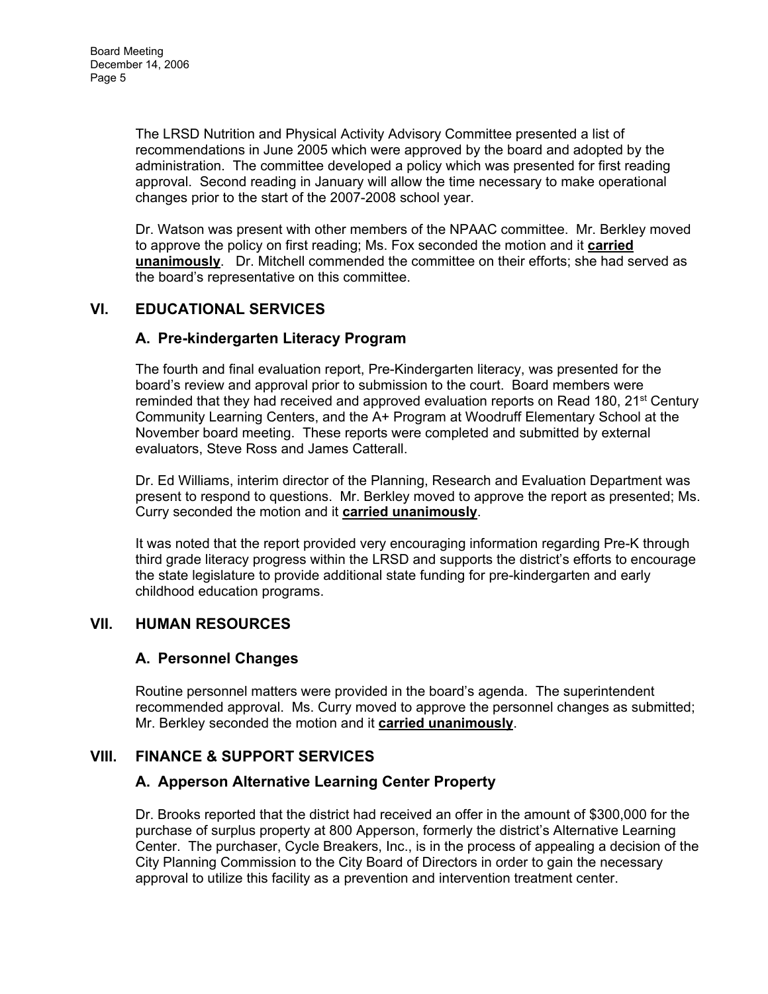The LRSD Nutrition and Physical Activity Advisory Committee presented a list of recommendations in June 2005 which were approved by the board and adopted by the administration. The committee developed a policy which was presented for first reading approval. Second reading in January will allow the time necessary to make operational changes prior to the start of the 2007-2008 school year.

Dr. Watson was present with other members of the NPAAC committee. Mr. Berkley moved to approve the policy on first reading; Ms. Fox seconded the motion and it **carried unanimously**. Dr. Mitchell commended the committee on their efforts; she had served as the board's representative on this committee.

# **VI. EDUCATIONAL SERVICES**

## **A. Pre-kindergarten Literacy Program**

The fourth and final evaluation report, Pre-Kindergarten literacy, was presented for the board's review and approval prior to submission to the court. Board members were reminded that they had received and approved evaluation reports on Read 180, 21<sup>st</sup> Century Community Learning Centers, and the A+ Program at Woodruff Elementary School at the November board meeting. These reports were completed and submitted by external evaluators, Steve Ross and James Catterall.

Dr. Ed Williams, interim director of the Planning, Research and Evaluation Department was present to respond to questions. Mr. Berkley moved to approve the report as presented; Ms. Curry seconded the motion and it **carried unanimously**.

It was noted that the report provided very encouraging information regarding Pre-K through third grade literacy progress within the LRSD and supports the district's efforts to encourage the state legislature to provide additional state funding for pre-kindergarten and early childhood education programs.

## **VII. HUMAN RESOURCES**

## **A. Personnel Changes**

Routine personnel matters were provided in the board's agenda. The superintendent recommended approval. Ms. Curry moved to approve the personnel changes as submitted; Mr. Berkley seconded the motion and it **carried unanimously**.

## **VIII. FINANCE & SUPPORT SERVICES**

## **A. Apperson Alternative Learning Center Property**

Dr. Brooks reported that the district had received an offer in the amount of \$300,000 for the purchase of surplus property at 800 Apperson, formerly the district's Alternative Learning Center. The purchaser, Cycle Breakers, Inc., is in the process of appealing a decision of the City Planning Commission to the City Board of Directors in order to gain the necessary approval to utilize this facility as a prevention and intervention treatment center.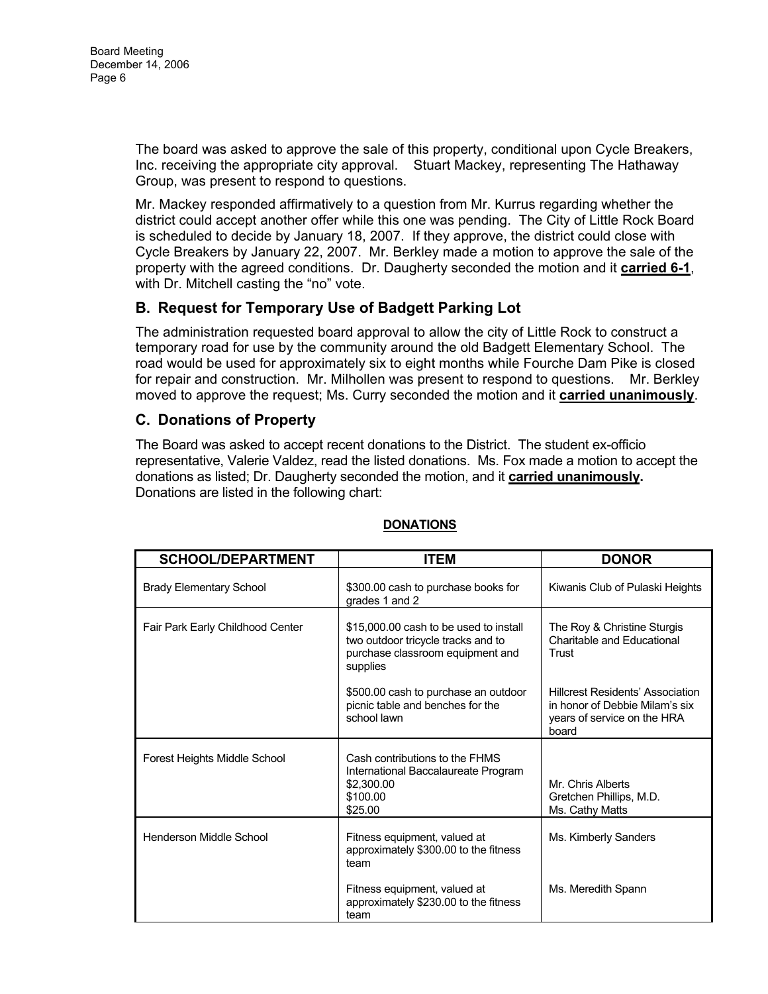The board was asked to approve the sale of this property, conditional upon Cycle Breakers, Inc. receiving the appropriate city approval. Stuart Mackey, representing The Hathaway Group, was present to respond to questions.

Mr. Mackey responded affirmatively to a question from Mr. Kurrus regarding whether the district could accept another offer while this one was pending. The City of Little Rock Board is scheduled to decide by January 18, 2007. If they approve, the district could close with Cycle Breakers by January 22, 2007. Mr. Berkley made a motion to approve the sale of the property with the agreed conditions. Dr. Daugherty seconded the motion and it **carried 6-1**, with Dr. Mitchell casting the "no" vote.

## **B. Request for Temporary Use of Badgett Parking Lot**

The administration requested board approval to allow the city of Little Rock to construct a temporary road for use by the community around the old Badgett Elementary School. The road would be used for approximately six to eight months while Fourche Dam Pike is closed for repair and construction. Mr. Milhollen was present to respond to questions. Mr. Berkley moved to approve the request; Ms. Curry seconded the motion and it **carried unanimously**.

## **C. Donations of Property**

The Board was asked to accept recent donations to the District. The student ex-officio representative, Valerie Valdez, read the listed donations. Ms. Fox made a motion to accept the donations as listed; Dr. Daugherty seconded the motion, and it **carried unanimously.**  Donations are listed in the following chart:

| <b>SCHOOL/DEPARTMENT</b>         | <b>ITEM</b>                                                                                                                  | <b>DONOR</b>                                                                                                      |
|----------------------------------|------------------------------------------------------------------------------------------------------------------------------|-------------------------------------------------------------------------------------------------------------------|
| <b>Brady Elementary School</b>   | \$300.00 cash to purchase books for<br>grades 1 and 2                                                                        | Kiwanis Club of Pulaski Heights                                                                                   |
| Fair Park Early Childhood Center | \$15,000.00 cash to be used to install<br>two outdoor tricycle tracks and to<br>purchase classroom equipment and<br>supplies | The Roy & Christine Sturgis<br>Charitable and Educational<br>Trust                                                |
|                                  | \$500.00 cash to purchase an outdoor<br>picnic table and benches for the<br>school lawn                                      | <b>Hillcrest Residents' Association</b><br>in honor of Debbie Milam's six<br>years of service on the HRA<br>board |
| Forest Heights Middle School     | Cash contributions to the FHMS<br>International Baccalaureate Program<br>\$2,300.00<br>\$100.00<br>\$25.00                   | Mr. Chris Alberts<br>Gretchen Phillips, M.D.<br>Ms. Cathy Matts                                                   |
| Henderson Middle School          | Fitness equipment, valued at<br>approximately \$300.00 to the fitness<br>team                                                | Ms. Kimberly Sanders                                                                                              |
|                                  | Fitness equipment, valued at<br>approximately \$230.00 to the fitness<br>team                                                | Ms. Meredith Spann                                                                                                |

#### **DONATIONS**